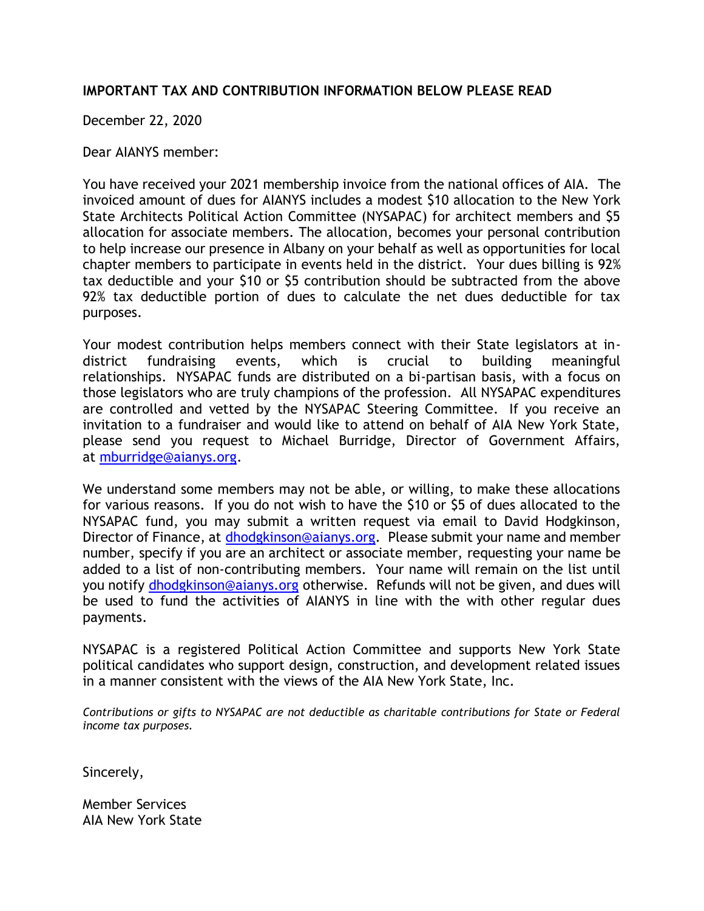## **IMPORTANT TAX AND CONTRIBUTION INFORMATION BELOW PLEASE READ**

December 22, 2020

Dear AIANYS member:

You have received your 2021 membership invoice from the national offices of AIA. The invoiced amount of dues for AIANYS includes a modest \$10 allocation to the New York State Architects Political Action Committee (NYSAPAC) for architect members and \$5 allocation for associate members. The allocation, becomes your personal contribution to help increase our presence in Albany on your behalf as well as opportunities for local chapter members to participate in events held in the district. Your dues billing is 92% tax deductible and your \$10 or \$5 contribution should be subtracted from the above 92% tax deductible portion of dues to calculate the net dues deductible for tax purposes.

Your modest contribution helps members connect with their State legislators at indistrict fundraising events, which is crucial to building meaningful relationships. NYSAPAC funds are distributed on a bi-partisan basis, with a focus on those legislators who are truly champions of the profession. All NYSAPAC expenditures are controlled and vetted by the NYSAPAC Steering Committee. If you receive an invitation to a fundraiser and would like to attend on behalf of AIA New York State, please send you request to Michael Burridge, Director of Government Affairs, at [mburridge@aianys.org.](mailto:mburridge@aianys.org)

We understand some members may not be able, or willing, to make these allocations for various reasons. If you do not wish to have the \$10 or \$5 of dues allocated to the NYSAPAC fund, you may submit a written request via email to David Hodgkinson, Director of Finance, at [dhodgkinson@aianys.org.](mailto:dhodgkinson@aianys.org) Please submit your name and member number, specify if you are an architect or associate member, requesting your name be added to a list of non-contributing members. Your name will remain on the list until you notify [dhodgkinson@aianys.org](mailto:dhodgkinson@aianys.org) otherwise. Refunds will not be given, and dues will be used to fund the activities of AIANYS in line with the with other regular dues payments.

NYSAPAC is a registered Political Action Committee and supports New York State political candidates who support design, construction, and development related issues in a manner consistent with the views of the AIA New York State, Inc.

*Contributions or gifts to NYSAPAC are not deductible as charitable contributions for State or Federal income tax purposes.*

Sincerely,

Member Services AIA New York State